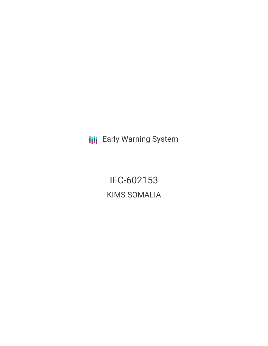**III** Early Warning System

IFC-602153 KIMS SOMALIA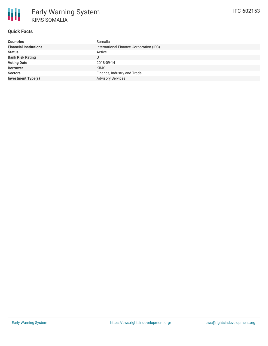

## **Quick Facts**

| <b>Countries</b>              | Somalia                                 |
|-------------------------------|-----------------------------------------|
| <b>Financial Institutions</b> | International Finance Corporation (IFC) |
| <b>Status</b>                 | Active                                  |
| <b>Bank Risk Rating</b>       | U                                       |
| <b>Voting Date</b>            | 2018-09-14                              |
| <b>Borrower</b>               | <b>KIMS</b>                             |
| <b>Sectors</b>                | Finance, Industry and Trade             |
| <b>Investment Type(s)</b>     | <b>Advisory Services</b>                |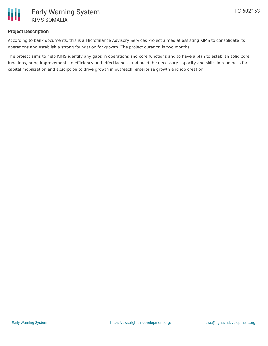

### **Project Description**

According to bank documents, this is a Microfinance Advisory Services Project aimed at assisting KIMS to consolidate its operations and establish a strong foundation for growth. The project duration is two months.

The project aims to help KIMS identify any gaps in operations and core functions and to have a plan to establish solid core functions, bring improvements in efficiency and effectiveness and build the necessary capacity and skills in readiness for capital mobilization and absorption to drive growth in outreach, enterprise growth and job creation.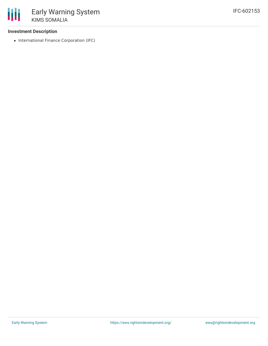### **Investment Description**

• International Finance Corporation (IFC)